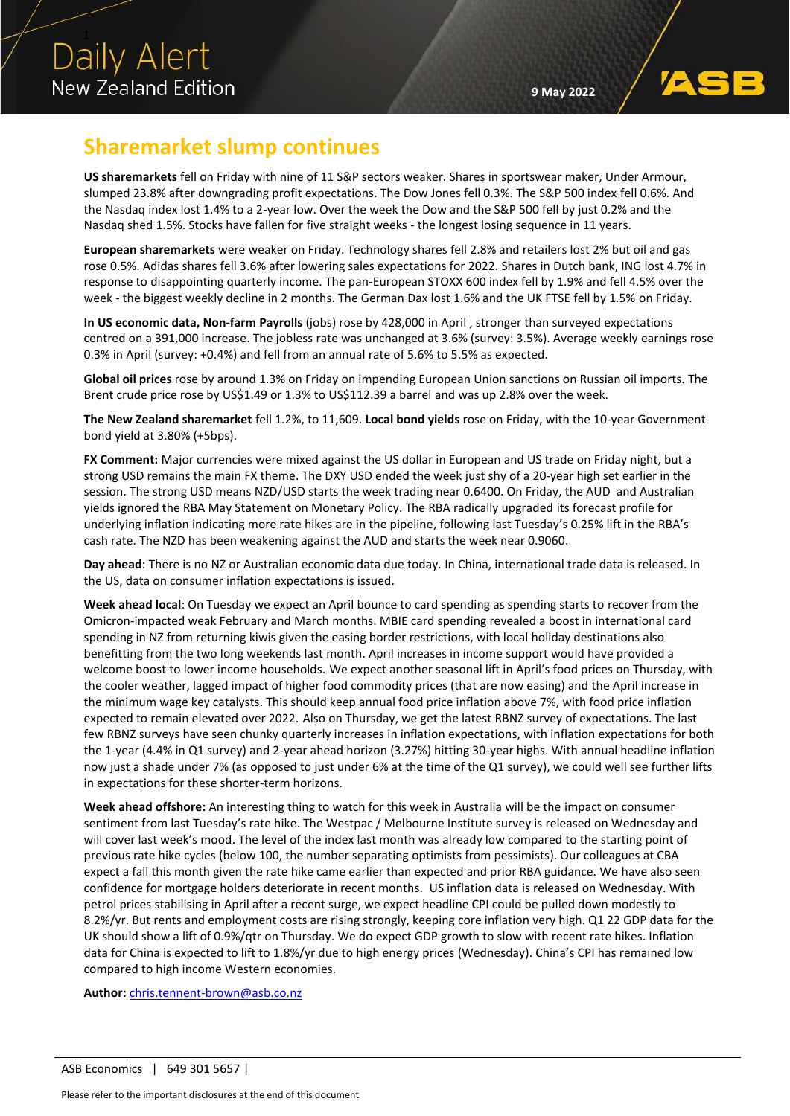## **Sharemarket slump continues**

**US sharemarkets** fell on Friday with nine of 11 S&P sectors weaker. Shares in sportswear maker, Under Armour, slumped 23.8% after downgrading profit expectations. The Dow Jones fell 0.3%. The S&P 500 index fell 0.6%. And the Nasdaq index lost 1.4% to a 2-year low. Over the week the Dow and the S&P 500 fell by just 0.2% and the Nasdaq shed 1.5%. Stocks have fallen for five straight weeks - the longest losing sequence in 11 years.

**European sharemarkets** were weaker on Friday. Technology shares fell 2.8% and retailers lost 2% but oil and gas rose 0.5%. Adidas shares fell 3.6% after lowering sales expectations for 2022. Shares in Dutch bank, ING lost 4.7% in response to disappointing quarterly income. The pan-European STOXX 600 index fell by 1.9% and fell 4.5% over the week - the biggest weekly decline in 2 months. The German Dax lost 1.6% and the UK FTSE fell by 1.5% on Friday.

**In US economic data, Non-farm Payrolls** (jobs) rose by 428,000 in April , stronger than surveyed expectations centred on a 391,000 increase. The jobless rate was unchanged at 3.6% (survey: 3.5%). Average weekly earnings rose 0.3% in April (survey: +0.4%) and fell from an annual rate of 5.6% to 5.5% as expected.

**Global oil prices** rose by around 1.3% on Friday on impending European Union sanctions on Russian oil imports. The Brent crude price rose by US\$1.49 or 1.3% to US\$112.39 a barrel and was up 2.8% over the week.

**The New Zealand sharemarket** fell 1.2%, to 11,609. **Local bond yields** rose on Friday, with the 10-year Government bond yield at 3.80% (+5bps).

**FX Comment:** Major currencies were mixed against the US dollar in European and US trade on Friday night, but a strong USD remains the main FX theme. The DXY USD ended the week just shy of a 20-year high set earlier in the session. The strong USD means NZD/USD starts the week trading near 0.6400. On Friday, the AUD and Australian yields ignored the RBA May Statement on Monetary Policy. The RBA radically upgraded its forecast profile for underlying inflation indicating more rate hikes are in the pipeline, following last Tuesday's 0.25% lift in the RBA's cash rate. The NZD has been weakening against the AUD and starts the week near 0.9060.

**Day ahead**: There is no NZ or Australian economic data due today. In China, international trade data is released. In the US, data on consumer inflation expectations is issued.

**Week ahead local**: On Tuesday we expect an April bounce to card spending as spending starts to recover from the Omicron-impacted weak February and March months. MBIE card spending revealed a boost in international card spending in NZ from returning kiwis given the easing border restrictions, with local holiday destinations also benefitting from the two long weekends last month. April increases in income support would have provided a welcome boost to lower income households. We expect another seasonal lift in April's food prices on Thursday, with the cooler weather, lagged impact of higher food commodity prices (that are now easing) and the April increase in the minimum wage key catalysts. This should keep annual food price inflation above 7%, with food price inflation expected to remain elevated over 2022. Also on Thursday, we get the latest RBNZ survey of expectations. The last few RBNZ surveys have seen chunky quarterly increases in inflation expectations, with inflation expectations for both the 1-year (4.4% in Q1 survey) and 2-year ahead horizon (3.27%) hitting 30-year highs. With annual headline inflation now just a shade under 7% (as opposed to just under 6% at the time of the Q1 survey), we could well see further lifts in expectations for these shorter-term horizons.

**Week ahead offshore:** An interesting thing to watch for this week in Australia will be the impact on consumer sentiment from last Tuesday's rate hike. The Westpac / Melbourne Institute survey is released on Wednesday and will cover last week's mood. The level of the index last month was already low compared to the starting point of previous rate hike cycles (below 100, the number separating optimists from pessimists). Our colleagues at CBA expect a fall this month given the rate hike came earlier than expected and prior RBA guidance. We have also seen confidence for mortgage holders deteriorate in recent months. US inflation data is released on Wednesday. With petrol prices stabilising in April after a recent surge, we expect headline CPI could be pulled down modestly to 8.2%/yr. But rents and employment costs are rising strongly, keeping core inflation very high. Q1 22 GDP data for the UK should show a lift of 0.9%/qtr on Thursday. We do expect GDP growth to slow with recent rate hikes. Inflation data for China is expected to lift to 1.8%/yr due to high energy prices (Wednesday). China's CPI has remained low compared to high income Western economies.

**Author:** [chris.tennent-brown@asb.co.nz](mailto:chris.tennent-brown@asb.co.nz)